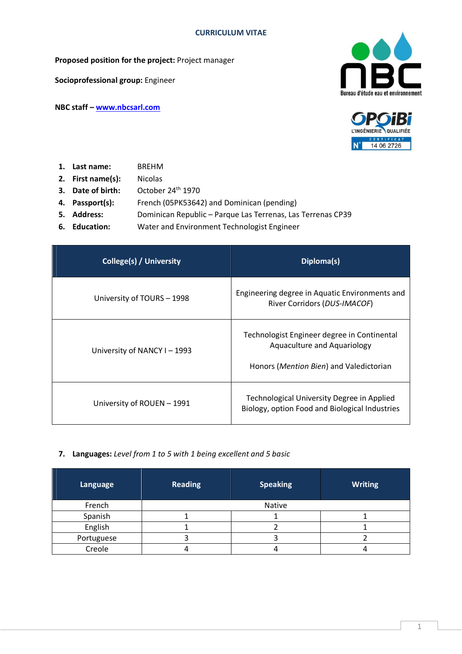**Proposed position for the project:** Project manager

**Socioprofessional group:** Engineer

**NBC staff – www.nbcsarl.com**





- **1. Last name:** BREHM
- **2. First name(s):** Nicolas
- **3. Date of birth:** October 24<sup>th</sup> 1970
- **4. Passport(s):** French (05PK53642) and Dominican (pending)
- **5. Address:** Dominican Republic Parque Las Terrenas, Las Terrenas CP39
- **6. Education:** Water and Environment Technologist Engineer

| College(s) / University    | Diploma(s)                                                                                                            |
|----------------------------|-----------------------------------------------------------------------------------------------------------------------|
| University of TOURS - 1998 | Engineering degree in Aquatic Environments and<br>River Corridors (DUS-IMACOF)                                        |
| University of NANCY I-1993 | Technologist Engineer degree in Continental<br>Aquaculture and Aquariology<br>Honors (Mention Bien) and Valedictorian |
| University of ROUEN - 1991 | Technological University Degree in Applied<br>Biology, option Food and Biological Industries                          |

**7. Languages:** *Level from 1 to 5 with 1 being excellent and 5 basic*

| Language   | <b>Reading</b> | <b>Speaking</b> | <b>Writing</b> |  |
|------------|----------------|-----------------|----------------|--|
| French     | Native         |                 |                |  |
| Spanish    |                |                 |                |  |
| English    |                |                 |                |  |
| Portuguese |                |                 |                |  |
| Creole     |                |                 |                |  |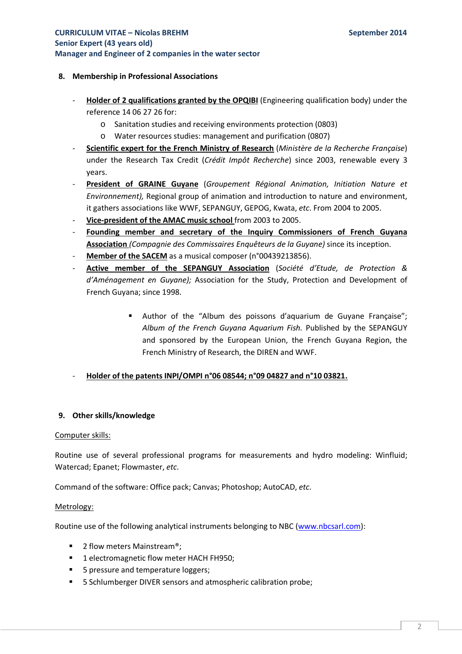## **8. Membership in Professional Associations**

- **Holder of 2 qualifications granted by the OPQIBI** (Engineering qualification body) under the reference 14 06 27 26 for:
	- o Sanitation studies and receiving environments protection (0803)
	- o Water resources studies: management and purification (0807)
- **Scientific expert for the French Ministry of Research** (*Ministère de la Recherche Française*) under the Research Tax Credit (*Crédit Impôt Recherche*) since 2003, renewable every 3 years.
- **President of GRAINE Guyane** (*Groupement Régional Animation, Initiation Nature et Environnement),* Regional group of animation and introduction to nature and environment, it gathers associations like WWF, SEPANGUY, GEPOG, Kwata, *etc*. From 2004 to 2005.
- **Vice-president of the AMAC music school** from 2003 to 2005.
- **Founding member and secretary of the Inquiry Commissioners of French Guyana Association** *(Compagnie des Commissaires Enquêteurs de la Guyane)* since its inception.
- Member of the **SACEM** as a musical composer (n°00439213856).
- **Active member of the SEPANGUY Association** (*Société d'Etude, de Protection & d'Aménagement en Guyane);* Association for the Study, Protection and Development of French Guyana; since 1998.
	- Author of the "Album des poissons d'aquarium de Guyane Française"; *Album of the French Guyana Aquarium Fish.* Published by the SEPANGUY and sponsored by the European Union, the French Guyana Region, the French Ministry of Research, the DIREN and WWF.
- **Holder of the patents INPI/OMPI n°06 08544; n°09 04827 and n°10 03821.**

# **9. Other skills/knowledge**

## Computer skills:

Routine use of several professional programs for measurements and hydro modeling: Winfluid; Watercad; Epanet; Flowmaster, *etc*.

Command of the software: Office pack; Canvas; Photoshop; AutoCAD, *etc*.

## Metrology:

Routine use of the following analytical instruments belonging to NBC (www.nbcsarl.com):

- 2 flow meters Mainstream®;
- 1 electromagnetic flow meter HACH FH950;
- 5 pressure and temperature loggers;
- **5 Schlumberger DIVER sensors and atmospheric calibration probe;**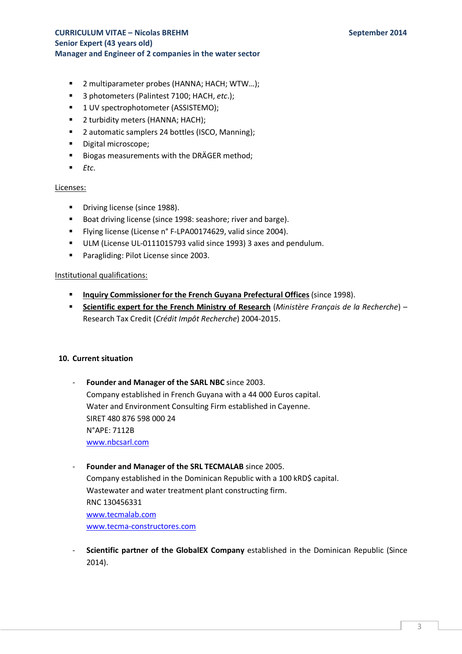- 2 multiparameter probes (HANNA; HACH; WTW...);
- 3 photometers (Palintest 7100; HACH, *etc*.);
- 1 UV spectrophotometer (ASSISTEMO);
- 2 turbidity meters (HANNA; HACH);
- 2 automatic samplers 24 bottles (ISCO, Manning);
- **Digital microscope;**
- Biogas measurements with the DRÄGER method;
- $E_{\text{t}}$

### Licenses:

- **Driving license (since 1988).**
- Boat driving license (since 1998: seashore; river and barge).
- **Filying license (License n° F-LPA00174629, valid since 2004).**
- ULM (License UL-0111015793 valid since 1993) 3 axes and pendulum.
- **Paragliding: Pilot License since 2003.**

### Institutional qualifications:

- **Inquiry Commissioner for the French Guyana Prefectural Offices** (since 1998).
- **Scientific expert for the French Ministry of Research** (*Ministère Français de la Recherche*) Research Tax Credit (*Crédit Impôt Recherche*) 2004-2015.

## **10. Current situation**

Founder and Manager of the SARL NBC since 2003. Company established in French Guyana with a 44 000 Euros capital. Water and Environment Consulting Firm established in Cayenne. SIRET 480 876 598 000 24 N°APE: 7112B www.nbcsarl.com

# Founder and Manager of the SRL TECMALAB since 2005.

Company established in the Dominican Republic with a 100 kRD\$ capital. Wastewater and water treatment plant constructing firm. RNC 130456331 www.tecmalab.com www.tecma-constructores.com

**Scientific partner of the GlobalEX Company** established in the Dominican Republic (Since 2014).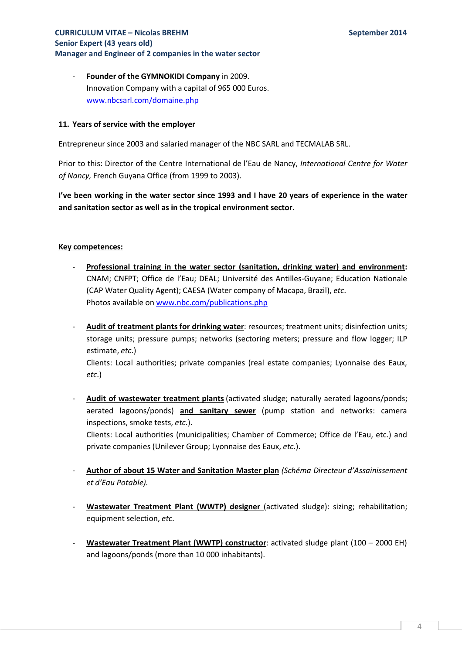- **Founder of the GYMNOKIDI Company** in 2009. Innovation Company with a capital of 965 000 Euros. www.nbcsarl.com/domaine.php

## **11. Years of service with the employer**

Entrepreneur since 2003 and salaried manager of the NBC SARL and TECMALAB SRL.

Prior to this: Director of the Centre International de l'Eau de Nancy, *International Centre for Water of Nancy,* French Guyana Office (from 1999 to 2003).

**I've been working in the water sector since 1993 and I have 20 years of experience in the water and sanitation sector as well as in the tropical environment sector.** 

### **Key competences:**

*etc*.)

inspections, smoke tests, *etc*.).

- Professional training in the water sector (sanitation, drinking water) and environment: CNAM; CNFPT; Office de l'Eau; DEAL; Université des Antilles-Guyane; Education Nationale (CAP Water Quality Agent); CAESA (Water company of Macapa, Brazil), *etc*. Photos available on www.nbc.com/publications.php
- **Audit of treatment plants for drinking water**: resources; treatment units; disinfection units; storage units; pressure pumps; networks (sectoring meters; pressure and flow logger; ILP estimate, *etc*.) Clients: Local authorities; private companies (real estate companies; Lyonnaise des Eaux,

- **Audit of wastewater treatment plants** (activated sludge; naturally aerated lagoons/ponds; aerated lagoons/ponds) **and sanitary sewer** (pump station and networks: camera

Clients: Local authorities (municipalities; Chamber of Commerce; Office de l'Eau, etc.) and private companies (Unilever Group; Lyonnaise des Eaux, *etc*.).

- **Author of about 15 Water and Sanitation Master plan** *(Schéma Directeur d'Assainissement et d'Eau Potable).*
- **Wastewater Treatment Plant (WWTP) designer** (activated sludge): sizing; rehabilitation; equipment selection, *etc*.
- **Wastewater Treatment Plant (WWTP) constructor**: activated sludge plant (100 2000 EH) and lagoons/ponds (more than 10 000 inhabitants).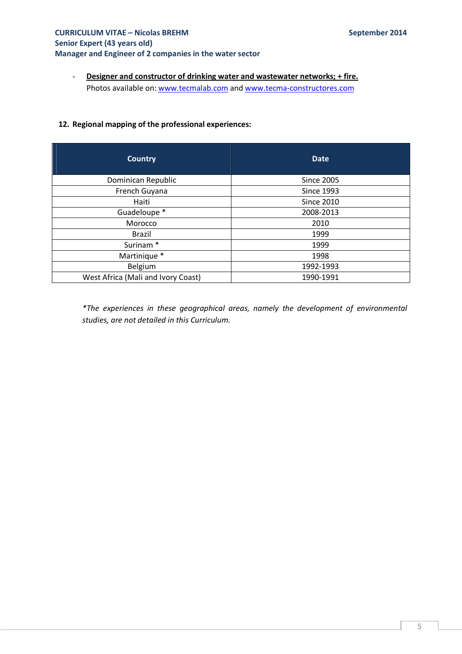- **Designer and constructor of drinking water and wastewater networks; + fire.**  Photos available on: www.tecmalab.com and www.tecma-constructores.com

### **12. Regional mapping of the professional experiences:**

| <b>Country</b>                     | <b>Date</b>       |  |  |
|------------------------------------|-------------------|--|--|
| Dominican Republic                 | <b>Since 2005</b> |  |  |
| French Guyana                      | <b>Since 1993</b> |  |  |
| Haiti                              | <b>Since 2010</b> |  |  |
| Guadeloupe *                       | 2008-2013         |  |  |
| Morocco                            | 2010              |  |  |
| Brazil                             | 1999              |  |  |
| Surinam <sup>*</sup>               | 1999              |  |  |
| Martinique *                       | 1998              |  |  |
| Belgium                            | 1992-1993         |  |  |
| West Africa (Mali and Ivory Coast) | 1990-1991         |  |  |

*\*The experiences in these geographical areas, namely the development of environmental studies, are not detailed in this Curriculum.*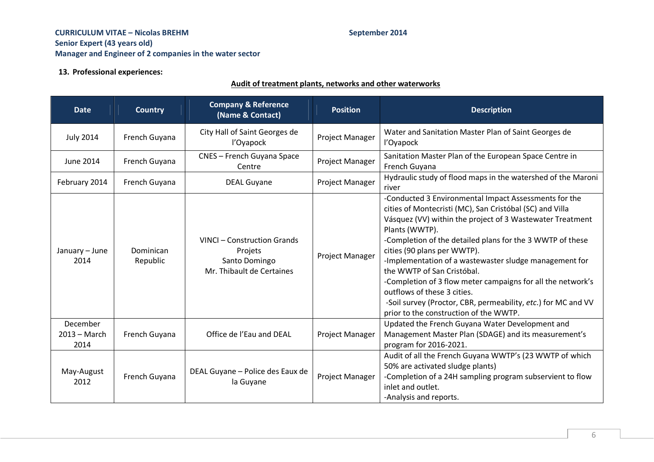### **13. Professional experiences:**

### **Audit of treatment plants, networks and other waterworks**

| <b>Date</b>                        | <b>Country</b>        | <b>Company &amp; Reference</b><br>(Name & Contact)                                   | <b>Position</b>        | <b>Description</b>                                                                                                                                                                                                                                                                                                                                                                                                                                                                                                                                                                            |
|------------------------------------|-----------------------|--------------------------------------------------------------------------------------|------------------------|-----------------------------------------------------------------------------------------------------------------------------------------------------------------------------------------------------------------------------------------------------------------------------------------------------------------------------------------------------------------------------------------------------------------------------------------------------------------------------------------------------------------------------------------------------------------------------------------------|
| <b>July 2014</b>                   | French Guyana         | City Hall of Saint Georges de<br>l'Oyapock                                           | Project Manager        | Water and Sanitation Master Plan of Saint Georges de<br>l'Oyapock                                                                                                                                                                                                                                                                                                                                                                                                                                                                                                                             |
| <b>June 2014</b>                   | French Guyana         | CNES - French Guyana Space<br>Centre                                                 | Project Manager        | Sanitation Master Plan of the European Space Centre in<br>French Guyana                                                                                                                                                                                                                                                                                                                                                                                                                                                                                                                       |
| February 2014                      | French Guyana         | <b>DEAL Guyane</b>                                                                   | Project Manager        | Hydraulic study of flood maps in the watershed of the Maroni<br>river                                                                                                                                                                                                                                                                                                                                                                                                                                                                                                                         |
| January - June<br>2014             | Dominican<br>Republic | VINCI - Construction Grands<br>Projets<br>Santo Domingo<br>Mr. Thibault de Certaines | Project Manager        | -Conducted 3 Environmental Impact Assessments for the<br>cities of Montecristi (MC), San Cristóbal (SC) and Villa<br>Vásquez (VV) within the project of 3 Wastewater Treatment<br>Plants (WWTP).<br>-Completion of the detailed plans for the 3 WWTP of these<br>cities (90 plans per WWTP).<br>-Implementation of a wastewaster sludge management for<br>the WWTP of San Cristóbal.<br>-Completion of 3 flow meter campaigns for all the network's<br>outflows of these 3 cities.<br>-Soil survey (Proctor, CBR, permeability, etc.) for MC and VV<br>prior to the construction of the WWTP. |
| December<br>$2013 - March$<br>2014 | French Guyana         | Office de l'Eau and DEAL                                                             | <b>Project Manager</b> | Updated the French Guyana Water Development and<br>Management Master Plan (SDAGE) and its measurement's<br>program for 2016-2021.                                                                                                                                                                                                                                                                                                                                                                                                                                                             |
| May-August<br>2012                 | French Guyana         | DEAL Guyane - Police des Eaux de<br>la Guyane                                        | Project Manager        | Audit of all the French Guyana WWTP's (23 WWTP of which<br>50% are activated sludge plants)<br>-Completion of a 24H sampling program subservient to flow<br>inlet and outlet.<br>-Analysis and reports.                                                                                                                                                                                                                                                                                                                                                                                       |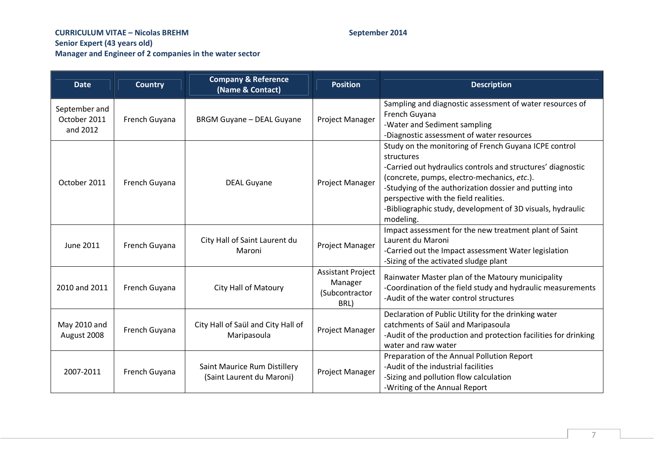| <b>Date</b>                               | <b>Country</b> | <b>Company &amp; Reference</b><br>(Name & Contact)        | <b>Position</b>                                               | <b>Description</b>                                                                                                                                                                                                                                                                                                                                               |
|-------------------------------------------|----------------|-----------------------------------------------------------|---------------------------------------------------------------|------------------------------------------------------------------------------------------------------------------------------------------------------------------------------------------------------------------------------------------------------------------------------------------------------------------------------------------------------------------|
| September and<br>October 2011<br>and 2012 | French Guyana  | <b>BRGM Guyane - DEAL Guyane</b>                          | Project Manager                                               | Sampling and diagnostic assessment of water resources of<br>French Guyana<br>-Water and Sediment sampling<br>-Diagnostic assessment of water resources                                                                                                                                                                                                           |
| October 2011                              | French Guyana  | <b>DEAL Guyane</b>                                        | Project Manager                                               | Study on the monitoring of French Guyana ICPE control<br>structures<br>-Carried out hydraulics controls and structures' diagnostic<br>(concrete, pumps, electro-mechanics, etc.).<br>-Studying of the authorization dossier and putting into<br>perspective with the field realities.<br>-Bibliographic study, development of 3D visuals, hydraulic<br>modeling. |
| <b>June 2011</b>                          | French Guyana  | City Hall of Saint Laurent du<br>Maroni                   | Project Manager                                               | Impact assessment for the new treatment plant of Saint<br>Laurent du Maroni<br>-Carried out the Impact assessment Water legislation<br>-Sizing of the activated sludge plant                                                                                                                                                                                     |
| 2010 and 2011                             | French Guyana  | <b>City Hall of Matoury</b>                               | <b>Assistant Project</b><br>Manager<br>(Subcontractor<br>BRL) | Rainwater Master plan of the Matoury municipality<br>-Coordination of the field study and hydraulic measurements<br>-Audit of the water control structures                                                                                                                                                                                                       |
| May 2010 and<br>August 2008               | French Guyana  | City Hall of Saül and City Hall of<br>Maripasoula         | Project Manager                                               | Declaration of Public Utility for the drinking water<br>catchments of Saül and Maripasoula<br>-Audit of the production and protection facilities for drinking<br>water and raw water                                                                                                                                                                             |
| 2007-2011                                 | French Guyana  | Saint Maurice Rum Distillery<br>(Saint Laurent du Maroni) | Project Manager                                               | Preparation of the Annual Pollution Report<br>-Audit of the industrial facilities<br>-Sizing and pollution flow calculation<br>-Writing of the Annual Report                                                                                                                                                                                                     |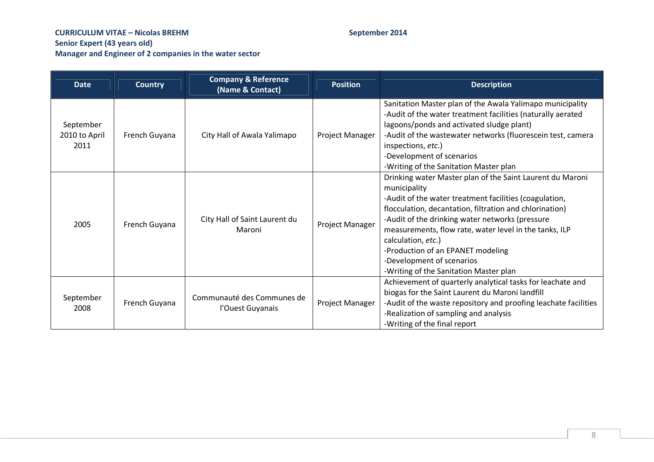| <b>Date</b>                        | <b>Country</b> | <b>Company &amp; Reference</b><br>(Name & Contact) | <b>Position</b>        | <b>Description</b>                                                                                                                                                                                                                                                                                                                                                                                                                            |
|------------------------------------|----------------|----------------------------------------------------|------------------------|-----------------------------------------------------------------------------------------------------------------------------------------------------------------------------------------------------------------------------------------------------------------------------------------------------------------------------------------------------------------------------------------------------------------------------------------------|
| September<br>2010 to April<br>2011 | French Guyana  | City Hall of Awala Yalimapo                        | Project Manager        | Sanitation Master plan of the Awala Yalimapo municipality<br>-Audit of the water treatment facilities (naturally aerated<br>lagoons/ponds and activated sludge plant)<br>-Audit of the wastewater networks (fluorescein test, camera<br>inspections, etc.)<br>-Development of scenarios<br>-Writing of the Sanitation Master plan                                                                                                             |
| 2005                               | French Guyana  | City Hall of Saint Laurent du<br>Maroni            | Project Manager        | Drinking water Master plan of the Saint Laurent du Maroni<br>municipality<br>-Audit of the water treatment facilities (coagulation,<br>flocculation, decantation, filtration and chlorination)<br>-Audit of the drinking water networks (pressure<br>measurements, flow rate, water level in the tanks, ILP<br>calculation, etc.)<br>-Production of an EPANET modeling<br>-Development of scenarios<br>-Writing of the Sanitation Master plan |
| September<br>2008                  | French Guyana  | Communauté des Communes de<br>l'Ouest Guyanais     | <b>Project Manager</b> | Achievement of quarterly analytical tasks for leachate and<br>biogas for the Saint Laurent du Maroni landfill<br>-Audit of the waste repository and proofing leachate facilities<br>-Realization of sampling and analysis<br>-Writing of the final report                                                                                                                                                                                     |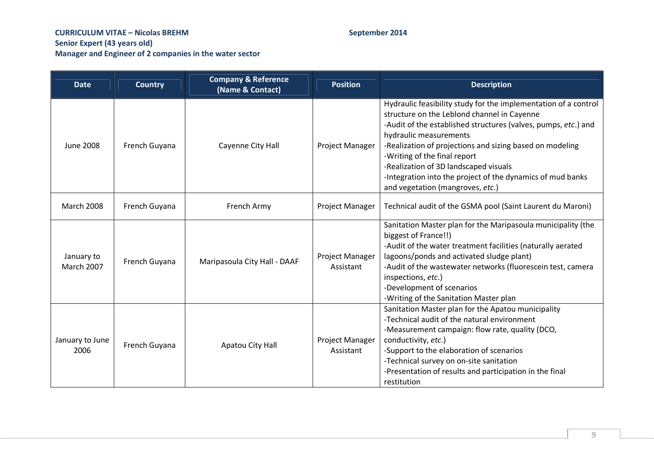| <b>Date</b>                     | <b>Country</b> | <b>Company &amp; Reference</b><br>(Name & Contact) | <b>Position</b>              | <b>Description</b>                                                                                                                                                                                                                                                                                                                                                                                                                                |
|---------------------------------|----------------|----------------------------------------------------|------------------------------|---------------------------------------------------------------------------------------------------------------------------------------------------------------------------------------------------------------------------------------------------------------------------------------------------------------------------------------------------------------------------------------------------------------------------------------------------|
| <b>June 2008</b>                | French Guyana  | Cayenne City Hall                                  | Project Manager              | Hydraulic feasibility study for the implementation of a control<br>structure on the Leblond channel in Cayenne<br>-Audit of the established structures (valves, pumps, etc.) and<br>hydraulic measurements<br>-Realization of projections and sizing based on modeling<br>-Writing of the final report<br>-Realization of 3D landscaped visuals<br>-Integration into the project of the dynamics of mud banks<br>and vegetation (mangroves, etc.) |
| <b>March 2008</b>               | French Guyana  | French Army                                        | Project Manager              | Technical audit of the GSMA pool (Saint Laurent du Maroni)                                                                                                                                                                                                                                                                                                                                                                                        |
| January to<br><b>March 2007</b> | French Guyana  | Maripasoula City Hall - DAAF                       | Project Manager<br>Assistant | Sanitation Master plan for the Maripasoula municipality (the<br>biggest of France!!)<br>-Audit of the water treatment facilities (naturally aerated<br>lagoons/ponds and activated sludge plant)<br>-Audit of the wastewater networks (fluorescein test, camera<br>inspections, etc.)<br>-Development of scenarios<br>-Writing of the Sanitation Master plan                                                                                      |
| January to June<br>2006         | French Guyana  | Apatou City Hall                                   | Project Manager<br>Assistant | Sanitation Master plan for the Apatou municipality<br>-Technical audit of the natural environment<br>-Measurement campaign: flow rate, quality (DCO,<br>conductivity, etc.)<br>-Support to the elaboration of scenarios<br>-Technical survey on on-site sanitation<br>-Presentation of results and participation in the final<br>restitution                                                                                                      |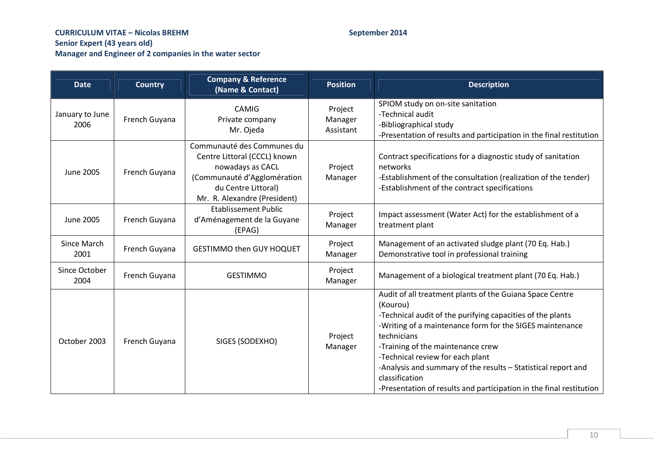| <b>Date</b>             | <b>Country</b> | <b>Company &amp; Reference</b><br>(Name & Contact)                                                                                                                   | <b>Position</b>                 | <b>Description</b>                                                                                                                                                                                                                                                                                                                                                                                                                               |
|-------------------------|----------------|----------------------------------------------------------------------------------------------------------------------------------------------------------------------|---------------------------------|--------------------------------------------------------------------------------------------------------------------------------------------------------------------------------------------------------------------------------------------------------------------------------------------------------------------------------------------------------------------------------------------------------------------------------------------------|
| January to June<br>2006 | French Guyana  | CAMIG<br>Private company<br>Mr. Ojeda                                                                                                                                | Project<br>Manager<br>Assistant | SPIOM study on on-site sanitation<br>-Technical audit<br>-Bibliographical study<br>-Presentation of results and participation in the final restitution                                                                                                                                                                                                                                                                                           |
| <b>June 2005</b>        | French Guyana  | Communauté des Communes du<br>Centre Littoral (CCCL) known<br>nowadays as CACL<br>(Communauté d'Agglomération<br>du Centre Littoral)<br>Mr. R. Alexandre (President) | Project<br>Manager              | Contract specifications for a diagnostic study of sanitation<br>networks<br>-Establishment of the consultation (realization of the tender)<br>-Establishment of the contract specifications                                                                                                                                                                                                                                                      |
| <b>June 2005</b>        | French Guyana  | <b>Etablissement Public</b><br>d'Aménagement de la Guyane<br>(EPAG)                                                                                                  | Project<br>Manager              | Impact assessment (Water Act) for the establishment of a<br>treatment plant                                                                                                                                                                                                                                                                                                                                                                      |
| Since March<br>2001     | French Guyana  | <b>GESTIMMO then GUY HOQUET</b>                                                                                                                                      | Project<br>Manager              | Management of an activated sludge plant (70 Eq. Hab.)<br>Demonstrative tool in professional training                                                                                                                                                                                                                                                                                                                                             |
| Since October<br>2004   | French Guyana  | <b>GESTIMMO</b>                                                                                                                                                      | Project<br>Manager              | Management of a biological treatment plant (70 Eq. Hab.)                                                                                                                                                                                                                                                                                                                                                                                         |
| October 2003            | French Guyana  | SIGES (SODEXHO)                                                                                                                                                      | Project<br>Manager              | Audit of all treatment plants of the Guiana Space Centre<br>(Kourou)<br>-Technical audit of the purifying capacities of the plants<br>-Writing of a maintenance form for the SIGES maintenance<br>technicians<br>-Training of the maintenance crew<br>-Technical review for each plant<br>-Analysis and summary of the results - Statistical report and<br>classification<br>-Presentation of results and participation in the final restitution |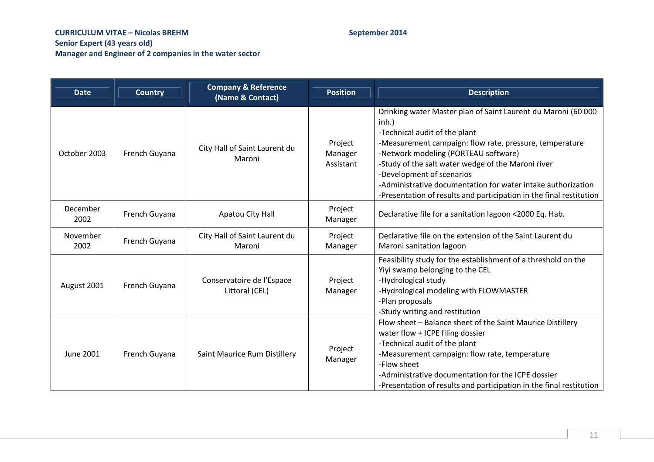| <b>Date</b>      | <b>Country</b> | <b>Company &amp; Reference</b><br>(Name & Contact) | <b>Position</b>                 | <b>Description</b>                                                                                                                                                                                                                                                                                                                                                                                                                      |
|------------------|----------------|----------------------------------------------------|---------------------------------|-----------------------------------------------------------------------------------------------------------------------------------------------------------------------------------------------------------------------------------------------------------------------------------------------------------------------------------------------------------------------------------------------------------------------------------------|
| October 2003     | French Guyana  | City Hall of Saint Laurent du<br>Maroni            | Project<br>Manager<br>Assistant | Drinking water Master plan of Saint Laurent du Maroni (60 000<br>$inh.$ )<br>-Technical audit of the plant<br>-Measurement campaign: flow rate, pressure, temperature<br>-Network modeling (PORTEAU software)<br>-Study of the salt water wedge of the Maroni river<br>-Development of scenarios<br>-Administrative documentation for water intake authorization<br>-Presentation of results and participation in the final restitution |
| December<br>2002 | French Guyana  | Apatou City Hall                                   | Project<br>Manager              | Declarative file for a sanitation lagoon <2000 Eq. Hab.                                                                                                                                                                                                                                                                                                                                                                                 |
| November<br>2002 | French Guyana  | City Hall of Saint Laurent du<br>Maroni            | Project<br>Manager              | Declarative file on the extension of the Saint Laurent du<br>Maroni sanitation lagoon                                                                                                                                                                                                                                                                                                                                                   |
| August 2001      | French Guyana  | Conservatoire de l'Espace<br>Littoral (CEL)        | Project<br>Manager              | Feasibility study for the establishment of a threshold on the<br>Yiyi swamp belonging to the CEL<br>-Hydrological study<br>-Hydrological modeling with FLOWMASTER<br>-Plan proposals<br>-Study writing and restitution                                                                                                                                                                                                                  |
| <b>June 2001</b> | French Guyana  | Saint Maurice Rum Distillery                       | Project<br>Manager              | Flow sheet - Balance sheet of the Saint Maurice Distillery<br>water flow + ICPE filing dossier<br>-Technical audit of the plant<br>-Measurement campaign: flow rate, temperature<br>-Flow sheet<br>-Administrative documentation for the ICPE dossier<br>-Presentation of results and participation in the final restitution                                                                                                            |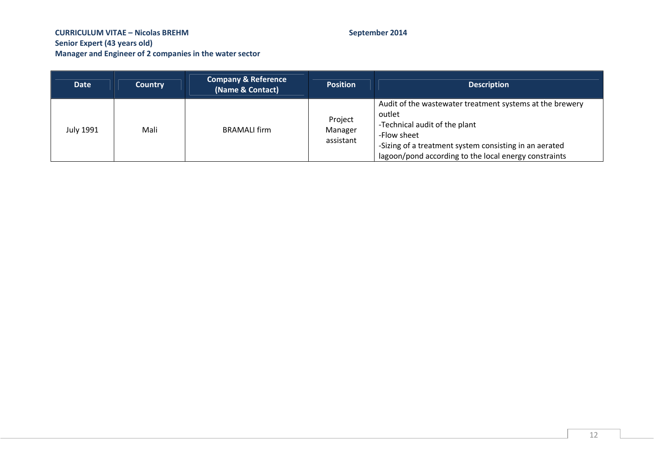| <b>Date</b>      | <b>Country</b> | <b>Company &amp; Reference</b><br>(Name & Contact) | <b>Position</b>                 | <b>Description</b>                                                                                                                                                                                                                    |
|------------------|----------------|----------------------------------------------------|---------------------------------|---------------------------------------------------------------------------------------------------------------------------------------------------------------------------------------------------------------------------------------|
| <b>July 1991</b> | Mali           | <b>BRAMALI</b> firm                                | Project<br>Manager<br>assistant | Audit of the wastewater treatment systems at the brewery<br>outlet<br>-Technical audit of the plant<br>-Flow sheet<br>-Sizing of a treatment system consisting in an aerated<br>lagoon/pond according to the local energy constraints |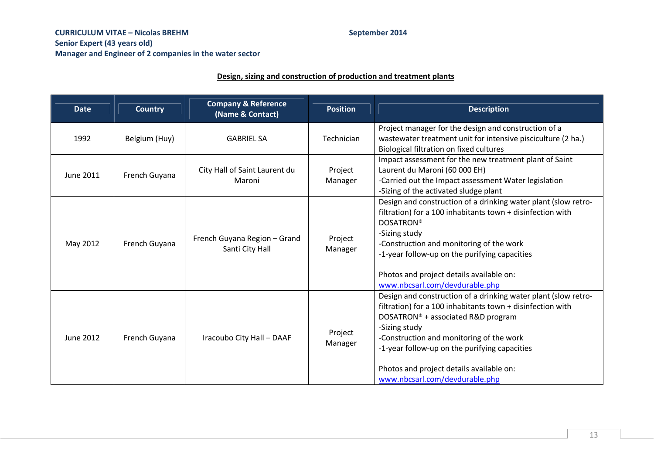## **Design, sizing and construction of production and treatment plants**

| <b>Date</b>      | <b>Country</b> | <b>Company &amp; Reference</b><br>(Name & Contact) | <b>Position</b>    | <b>Description</b>                                                                                                                                                                                                                                                                                                                                             |
|------------------|----------------|----------------------------------------------------|--------------------|----------------------------------------------------------------------------------------------------------------------------------------------------------------------------------------------------------------------------------------------------------------------------------------------------------------------------------------------------------------|
| 1992             | Belgium (Huy)  | <b>GABRIEL SA</b>                                  | Technician         | Project manager for the design and construction of a<br>wastewater treatment unit for intensive pisciculture (2 ha.)<br>Biological filtration on fixed cultures                                                                                                                                                                                                |
| <b>June 2011</b> | French Guyana  | City Hall of Saint Laurent du<br>Maroni            | Project<br>Manager | Impact assessment for the new treatment plant of Saint<br>Laurent du Maroni (60 000 EH)<br>-Carried out the Impact assessment Water legislation<br>-Sizing of the activated sludge plant                                                                                                                                                                       |
| May 2012         | French Guyana  | French Guyana Region - Grand<br>Santi City Hall    | Project<br>Manager | Design and construction of a drinking water plant (slow retro-<br>filtration) for a 100 inhabitants town + disinfection with<br><b>DOSATRON®</b><br>-Sizing study<br>-Construction and monitoring of the work<br>-1-year follow-up on the purifying capacities<br>Photos and project details available on:<br>www.nbcsarl.com/devdurable.php                   |
| <b>June 2012</b> | French Guyana  | Iracoubo City Hall - DAAF                          | Project<br>Manager | Design and construction of a drinking water plant (slow retro-<br>filtration) for a 100 inhabitants town + disinfection with<br>DOSATRON® + associated R&D program<br>-Sizing study<br>-Construction and monitoring of the work<br>-1-year follow-up on the purifying capacities<br>Photos and project details available on:<br>www.nbcsarl.com/devdurable.php |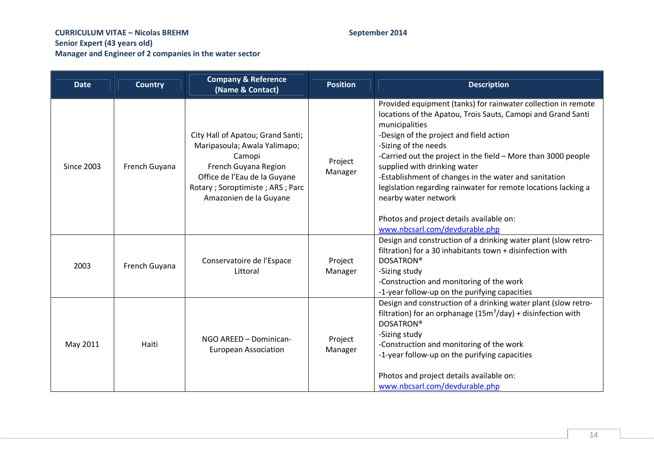| <b>Date</b>       | <b>Country</b> | <b>Company &amp; Reference</b><br>(Name & Contact)                                                                                                                                               | <b>Position</b>    | <b>Description</b>                                                                                                                                                                                                                                                                                                                                                                                                                                                                                                                                   |
|-------------------|----------------|--------------------------------------------------------------------------------------------------------------------------------------------------------------------------------------------------|--------------------|------------------------------------------------------------------------------------------------------------------------------------------------------------------------------------------------------------------------------------------------------------------------------------------------------------------------------------------------------------------------------------------------------------------------------------------------------------------------------------------------------------------------------------------------------|
| <b>Since 2003</b> | French Guyana  | City Hall of Apatou; Grand Santi;<br>Maripasoula; Awala Yalimapo;<br>Camopi<br>French Guyana Region<br>Office de l'Eau de la Guyane<br>Rotary; Soroptimiste; ARS; Parc<br>Amazonien de la Guyane | Project<br>Manager | Provided equipment (tanks) for rainwater collection in remote<br>locations of the Apatou, Trois Sauts, Camopi and Grand Santi<br>municipalities<br>-Design of the project and field action<br>-Sizing of the needs<br>-Carried out the project in the field - More than 3000 people<br>supplied with drinking water<br>-Establishment of changes in the water and sanitation<br>legislation regarding rainwater for remote locations lacking a<br>nearby water network<br>Photos and project details available on:<br>www.nbcsarl.com/devdurable.php |
| 2003              | French Guyana  | Conservatoire de l'Espace<br>Littoral                                                                                                                                                            | Project<br>Manager | Design and construction of a drinking water plant (slow retro-<br>filtration) for a 30 inhabitants town + disinfection with<br><b>DOSATRON®</b><br>-Sizing study<br>-Construction and monitoring of the work<br>-1-year follow-up on the purifying capacities                                                                                                                                                                                                                                                                                        |
| May 2011          | Haiti          | NGO AREED - Dominican-<br><b>European Association</b>                                                                                                                                            | Project<br>Manager | Design and construction of a drinking water plant (slow retro-<br>filtration) for an orphanage $(15m3/day) +$ disinfection with<br><b>DOSATRON®</b><br>-Sizing study<br>-Construction and monitoring of the work<br>-1-year follow-up on the purifying capacities<br>Photos and project details available on:<br>www.nbcsarl.com/devdurable.php                                                                                                                                                                                                      |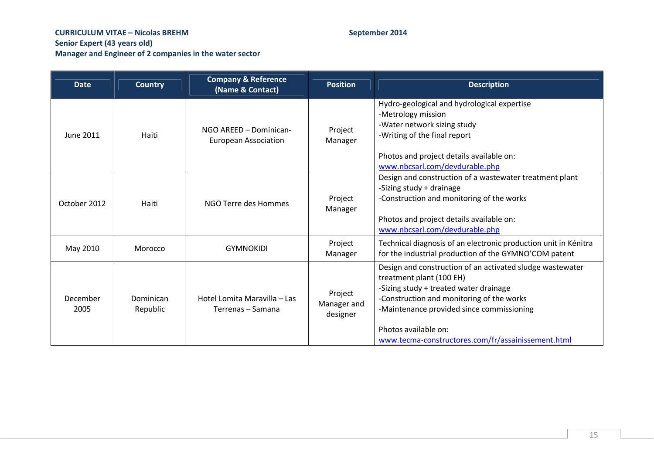| <b>Date</b>      | <b>Country</b>        | <b>Company &amp; Reference</b><br>(Name & Contact)    | <b>Position</b>                    | <b>Description</b>                                                                                                                                                                                                                                                                                      |
|------------------|-----------------------|-------------------------------------------------------|------------------------------------|---------------------------------------------------------------------------------------------------------------------------------------------------------------------------------------------------------------------------------------------------------------------------------------------------------|
| June 2011        | Haiti                 | NGO AREED - Dominican-<br><b>European Association</b> | Project<br>Manager                 | Hydro-geological and hydrological expertise<br>-Metrology mission<br>-Water network sizing study<br>-Writing of the final report<br>Photos and project details available on:<br>www.nbcsarl.com/devdurable.php                                                                                          |
| October 2012     | Haiti                 | NGO Terre des Hommes                                  | Project<br>Manager                 | Design and construction of a wastewater treatment plant<br>-Sizing study + drainage<br>-Construction and monitoring of the works<br>Photos and project details available on:<br>www.nbcsarl.com/devdurable.php                                                                                          |
| May 2010         | Morocco               | <b>GYMNOKIDI</b>                                      | Project<br>Manager                 | Technical diagnosis of an electronic production unit in Kénitra<br>for the industrial production of the GYMNO'COM patent                                                                                                                                                                                |
| December<br>2005 | Dominican<br>Republic | Hotel Lomita Maravilla – Las<br>Terrenas – Samana     | Project<br>Manager and<br>designer | Design and construction of an activated sludge wastewater<br>treatment plant (100 EH)<br>-Sizing study + treated water drainage<br>-Construction and monitoring of the works<br>-Maintenance provided since commissioning<br>Photos available on:<br>www.tecma-constructores.com/fr/assainissement.html |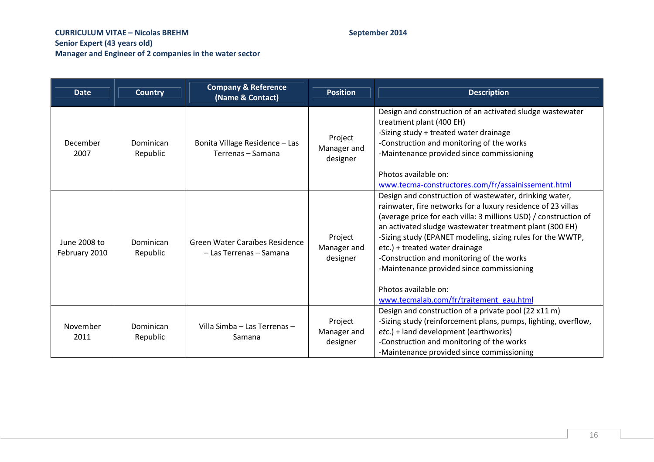| <b>Date</b>                   | <b>Country</b>        | <b>Company &amp; Reference</b><br>(Name & Contact)        | <b>Position</b>                    | <b>Description</b>                                                                                                                                                                                                                                                                                                                                                                                                                                                                                                 |
|-------------------------------|-----------------------|-----------------------------------------------------------|------------------------------------|--------------------------------------------------------------------------------------------------------------------------------------------------------------------------------------------------------------------------------------------------------------------------------------------------------------------------------------------------------------------------------------------------------------------------------------------------------------------------------------------------------------------|
| December<br>2007              | Dominican<br>Republic | Bonita Village Residence - Las<br>Terrenas – Samana       | Project<br>Manager and<br>designer | Design and construction of an activated sludge wastewater<br>treatment plant (400 EH)<br>-Sizing study + treated water drainage<br>-Construction and monitoring of the works<br>-Maintenance provided since commissioning<br>Photos available on:<br>www.tecma-constructores.com/fr/assainissement.html                                                                                                                                                                                                            |
| June 2008 to<br>February 2010 | Dominican<br>Republic | Green Water Caraïbes Residence<br>- Las Terrenas - Samana | Project<br>Manager and<br>designer | Design and construction of wastewater, drinking water,<br>rainwater, fire networks for a luxury residence of 23 villas<br>(average price for each villa: 3 millions USD) / construction of<br>an activated sludge wastewater treatment plant (300 EH)<br>-Sizing study (EPANET modeling, sizing rules for the WWTP,<br>etc.) + treated water drainage<br>-Construction and monitoring of the works<br>-Maintenance provided since commissioning<br>Photos available on:<br>www.tecmalab.com/fr/traitement eau.html |
| November<br>2011              | Dominican<br>Republic | Villa Simba - Las Terrenas -<br>Samana                    | Project<br>Manager and<br>designer | Design and construction of a private pool (22 x11 m)<br>-Sizing study (reinforcement plans, pumps, lighting, overflow,<br>etc.) + land development (earthworks)<br>-Construction and monitoring of the works<br>-Maintenance provided since commissioning                                                                                                                                                                                                                                                          |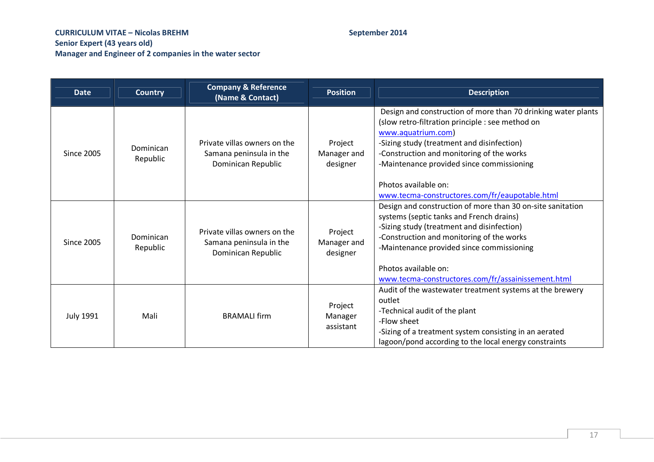| <b>Date</b>       | <b>Country</b>        | <b>Company &amp; Reference</b><br>(Name & Contact)                            | <b>Position</b>                    | <b>Description</b>                                                                                                                                                                                                                                                                                                                                        |
|-------------------|-----------------------|-------------------------------------------------------------------------------|------------------------------------|-----------------------------------------------------------------------------------------------------------------------------------------------------------------------------------------------------------------------------------------------------------------------------------------------------------------------------------------------------------|
| <b>Since 2005</b> | Dominican<br>Republic | Private villas owners on the<br>Samana peninsula in the<br>Dominican Republic | Project<br>Manager and<br>designer | Design and construction of more than 70 drinking water plants<br>(slow retro-filtration principle : see method on<br>www.aquatrium.com)<br>-Sizing study (treatment and disinfection)<br>-Construction and monitoring of the works<br>-Maintenance provided since commissioning<br>Photos available on:<br>www.tecma-constructores.com/fr/eaupotable.html |
| <b>Since 2005</b> | Dominican<br>Republic | Private villas owners on the<br>Samana peninsula in the<br>Dominican Republic | Project<br>Manager and<br>designer | Design and construction of more than 30 on-site sanitation<br>systems (septic tanks and French drains)<br>-Sizing study (treatment and disinfection)<br>-Construction and monitoring of the works<br>-Maintenance provided since commissioning<br>Photos available on:<br>www.tecma-constructores.com/fr/assainissement.html                              |
| <b>July 1991</b>  | Mali                  | <b>BRAMALI firm</b>                                                           | Project<br>Manager<br>assistant    | Audit of the wastewater treatment systems at the brewery<br>outlet<br>-Technical audit of the plant<br>-Flow sheet<br>-Sizing of a treatment system consisting in an aerated<br>lagoon/pond according to the local energy constraints                                                                                                                     |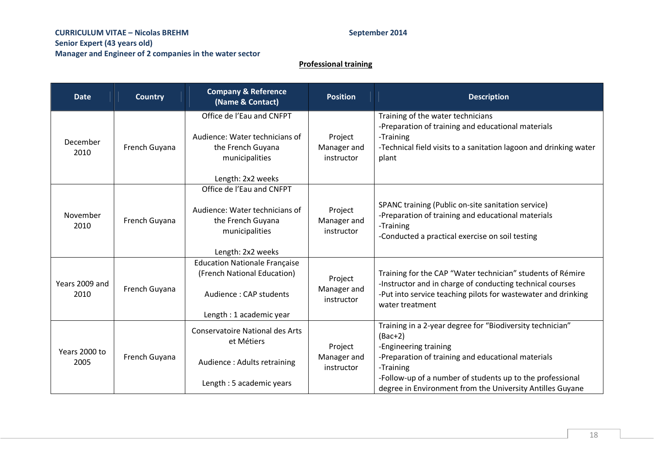# **Professional training**

| <b>Date</b>            | <b>Country</b> | <b>Company &amp; Reference</b><br>(Name & Contact)                                                                                           | <b>Position</b>                      | <b>Description</b>                                                                                                                                                                                                                                                                           |
|------------------------|----------------|----------------------------------------------------------------------------------------------------------------------------------------------|--------------------------------------|----------------------------------------------------------------------------------------------------------------------------------------------------------------------------------------------------------------------------------------------------------------------------------------------|
| December<br>2010       | French Guyana  | Office de l'Eau and CNFPT<br>Audience: Water technicians of<br>the French Guyana<br>municipalities                                           | Project<br>Manager and<br>instructor | Training of the water technicians<br>-Preparation of training and educational materials<br>-Training<br>-Technical field visits to a sanitation lagoon and drinking water<br>plant                                                                                                           |
| November<br>2010       | French Guyana  | Length: 2x2 weeks<br>Office de l'Eau and CNFPT<br>Audience: Water technicians of<br>the French Guyana<br>municipalities<br>Length: 2x2 weeks | Project<br>Manager and<br>instructor | SPANC training (Public on-site sanitation service)<br>-Preparation of training and educational materials<br>-Training<br>-Conducted a practical exercise on soil testing                                                                                                                     |
| Years 2009 and<br>2010 | French Guyana  | <b>Education Nationale Française</b><br>(French National Education)<br>Audience: CAP students<br>Length: 1 academic year                     | Project<br>Manager and<br>instructor | Training for the CAP "Water technician" students of Rémire<br>-Instructor and in charge of conducting technical courses<br>-Put into service teaching pilots for wastewater and drinking<br>water treatment                                                                                  |
| Years 2000 to<br>2005  | French Guyana  | <b>Conservatoire National des Arts</b><br>et Métiers<br>Audience: Adults retraining<br>Length: 5 academic years                              | Project<br>Manager and<br>instructor | Training in a 2-year degree for "Biodiversity technician"<br>$(Bac+2)$<br>-Engineering training<br>-Preparation of training and educational materials<br>-Training<br>-Follow-up of a number of students up to the professional<br>degree in Environment from the University Antilles Guyane |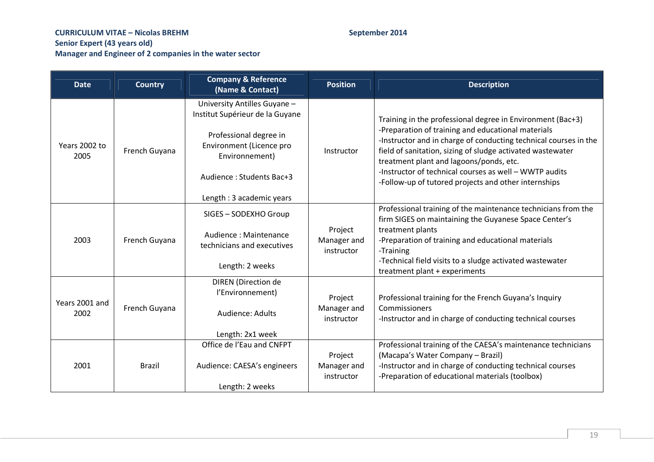| <b>Date</b>            | <b>Country</b> | <b>Company &amp; Reference</b><br>(Name & Contact)                                                                                                                                              | <b>Position</b>                      | <b>Description</b>                                                                                                                                                                                                                                                                                                                                                                                              |
|------------------------|----------------|-------------------------------------------------------------------------------------------------------------------------------------------------------------------------------------------------|--------------------------------------|-----------------------------------------------------------------------------------------------------------------------------------------------------------------------------------------------------------------------------------------------------------------------------------------------------------------------------------------------------------------------------------------------------------------|
| Years 2002 to<br>2005  | French Guyana  | University Antilles Guyane -<br>Institut Supérieur de la Guyane<br>Professional degree in<br>Environment (Licence pro<br>Environnement)<br>Audience: Students Bac+3<br>Length: 3 academic years | Instructor                           | Training in the professional degree in Environment (Bac+3)<br>-Preparation of training and educational materials<br>-Instructor and in charge of conducting technical courses in the<br>field of sanitation, sizing of sludge activated wastewater<br>treatment plant and lagoons/ponds, etc.<br>-Instructor of technical courses as well - WWTP audits<br>-Follow-up of tutored projects and other internships |
| 2003                   | French Guyana  | SIGES - SODEXHO Group<br>Audience: Maintenance<br>technicians and executives<br>Length: 2 weeks                                                                                                 | Project<br>Manager and<br>instructor | Professional training of the maintenance technicians from the<br>firm SIGES on maintaining the Guyanese Space Center's<br>treatment plants<br>-Preparation of training and educational materials<br>-Training<br>-Technical field visits to a sludge activated wastewater<br>treatment plant + experiments                                                                                                      |
| Years 2001 and<br>2002 | French Guyana  | DIREN (Direction de<br>l'Environnement)<br>Audience: Adults<br>Length: 2x1 week                                                                                                                 | Project<br>Manager and<br>instructor | Professional training for the French Guyana's Inquiry<br>Commissioners<br>-Instructor and in charge of conducting technical courses                                                                                                                                                                                                                                                                             |
| 2001                   | <b>Brazil</b>  | Office de l'Eau and CNFPT<br>Audience: CAESA's engineers<br>Length: 2 weeks                                                                                                                     | Project<br>Manager and<br>instructor | Professional training of the CAESA's maintenance technicians<br>(Macapa's Water Company - Brazil)<br>-Instructor and in charge of conducting technical courses<br>-Preparation of educational materials (toolbox)                                                                                                                                                                                               |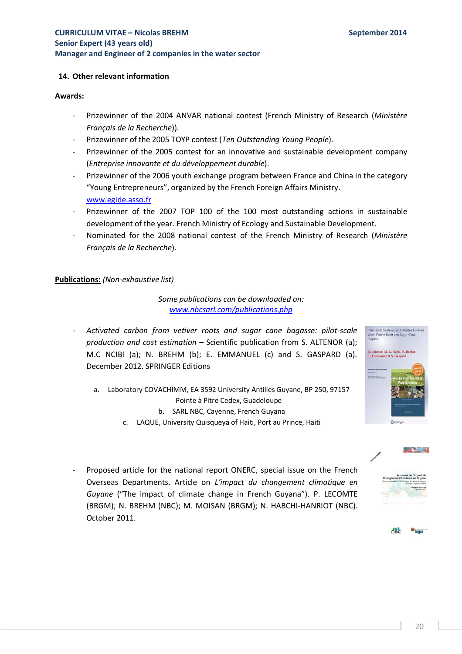## **14. Other relevant information**

### **Awards:**

- Prizewinner of the 2004 ANVAR national contest (French Ministry of Research (*Ministère Français de la Recherche*)).
- Prizewinner of the 2005 TOYP contest (*Ten Outstanding Young People*).
- Prizewinner of the 2005 contest for an innovative and sustainable development company (*Entreprise innovante et du développement durable*).
- Prizewinner of the 2006 youth exchange program between France and China in the category "Young Entrepreneurs", organized by the French Foreign Affairs Ministry. www.egide.asso.fr
- Prizewinner of the 2007 TOP 100 of the 100 most outstanding actions in sustainable development of the year. French Ministry of Ecology and Sustainable Development.
- Nominated for the 2008 national contest of the French Ministry of Research (*Ministère Français de la Recherche*).

### **Publications:** *(Non-exhaustive list)*

*Some publications can be downloaded on: www.nbcsarl.com/publications.php*

- *Activated carbon from vetiver roots and sugar cane bagasse: pilot-scale production and cost estimation* – Scientific publication from S. ALTENOR (a); M.C NCIBI (a); N. BREHM (b); E. EMMANUEL (c) and S. GASPARD (a). December 2012. SPRINGER Editions
	- a. Laboratory COVACHIMM, EA 3592 University Antilles Guyane, BP 250, 97157 Pointe à Pitre Cedex, Guadeloupe b. SARL NBC, Cayenne, French Guyana
		- c. LAQUE, University Quisqueya of Haiti, Port au Prince, Haiti
- Proposed article for the national report ONERC, special issue on the French Overseas Departments. Article on *L'impact du changement climatique en Guyane* ("The impact of climate change in French Guyana"). P. LECOMTE (BRGM); N. BREHM (NBC); M. MOISAN (BRGM); N. HABCHI-HANRIOT (NBC). October 2011.





**AND THE REAL**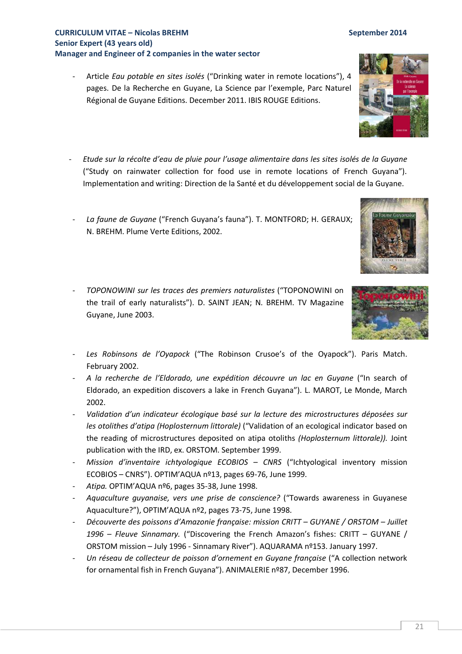- Article *Eau potable en sites isolés* ("Drinking water in remote locations"), 4 pages. De la Recherche en Guyane, La Science par l'exemple, Parc Naturel Régional de Guyane Editions. December 2011. IBIS ROUGE Editions.
- *Etude sur la récolte d'eau de pluie pour l'usage alimentaire dans les sites isolés de la Guyane* ("Study on rainwater collection for food use in remote locations of French Guyana"). Implementation and writing: Direction de la Santé et du développement social de la Guyane.
- La faune de Guyane ("French Guyana's fauna"). T. MONTFORD; H. GERAUX; N. BREHM. Plume Verte Editions, 2002.
- *TOPONOWINI sur les traces des premiers naturalistes* ("TOPONOWINI on the trail of early naturalists"). D. SAINT JEAN; N. BREHM. TV Magazine Guyane, June 2003.
- Les Robinsons de l'Oyapock ("The Robinson Crusoe's of the Oyapock"). Paris Match. February 2002.
- *A la recherche de l'Eldorado, une expédition découvre un lac en Guyane* ("In search of Eldorado, an expedition discovers a lake in French Guyana"). L. MAROT, Le Monde, March 2002.
- *Validation d'un indicateur écologique basé sur la lecture des microstructures déposées sur les otolithes d'atipa (Hoplosternum littorale)* ("Validation of an ecological indicator based on the reading of microstructures deposited on atipa otoliths *(Hoplosternum littorale)).* Joint publication with the IRD, ex. ORSTOM. September 1999.
- *Mission d'inventaire ichtyologique ECOBIOS CNRS* ("Ichtyological inventory mission ECOBIOS – CNRS"). OPTIM'AQUA nº13, pages 69-76, June 1999.
- *Atipa.* OPTIM'AQUA nº6, pages 35-38, June 1998.
- *Aquaculture guyanaise, vers une prise de conscience?* ("Towards awareness in Guyanese Aquaculture?"), OPTIM'AQUA nº2, pages 73-75, June 1998.
- *Découverte des poissons d'Amazonie française: mission CRITT GUYANE / ORSTOM Juillet 1996 – Fleuve Sinnamary.* ("Discovering the French Amazon's fishes: CRITT – GUYANE / ORSTOM mission – July 1996 - Sinnamary River"). AQUARAMA nº153. January 1997.
- *Un réseau de collecteur de poisson d'ornement en Guyane française* ("A collection network for ornamental fish in French Guyana"). ANIMALERIE nº87, December 1996.





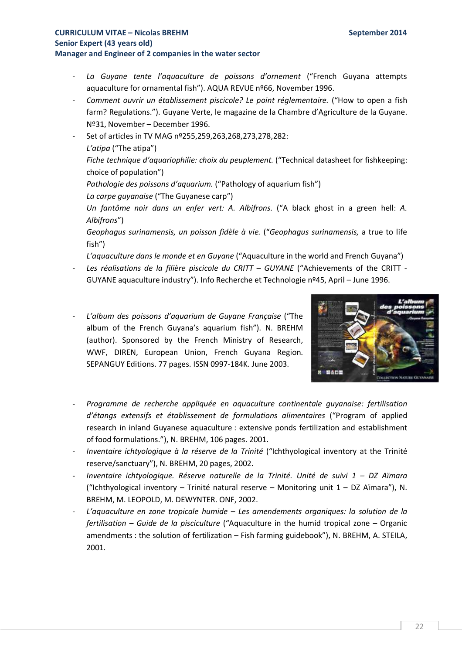- *La Guyane tente l'aquaculture de poissons d'ornement* ("French Guyana attempts aquaculture for ornamental fish"). AQUA REVUE nº66, November 1996.
- *Comment ouvrir un établissement piscicole? Le point réglementaire.* ("How to open a fish farm? Regulations."). Guyane Verte, le magazine de la Chambre d'Agriculture de la Guyane. Nº31, November – December 1996.

- Set of articles in TV MAG nº255,259,263,268,273,278,282: *L'atipa* ("The atipa") *Fiche technique d'aquariophilie: choix du peuplement.* ("Technical datasheet for fishkeeping: choice of population") Pathologie des poissons d'aquarium. ("Pathology of aquarium fish") *La carpe guyanaise* ("The Guyanese carp") *Un fantôme noir dans un enfer vert: A. Albifrons.* ("A black ghost in a green hell: *A. Albifrons*")

*Geophagus surinamensis, un poisson fidèle à vie.* ("*Geophagus surinamensis,* a true to life fish")

*L'aquaculture dans le monde et en Guyane* ("Aquaculture in the world and French Guyana")

- Les réalisations de la filière piscicole du CRITT GUYANE ("Achievements of the CRITT -GUYANE aquaculture industry"). Info Recherche et Technologie nº45, April – June 1996.
- *L'album des poissons d'aquarium de Guyane Française* ("The album of the French Guyana's aquarium fish"). N. BREHM (author). Sponsored by the French Ministry of Research, WWF, DIREN, European Union, French Guyana Region. SEPANGUY Editions. 77 pages. ISSN 0997-184K. June 2003.



- *Programme de recherche appliquée en aquaculture continentale guyanaise: fertilisation d'étangs extensifs et établissement de formulations alimentaires* ("Program of applied research in inland Guyanese aquaculture : extensive ponds fertilization and establishment of food formulations."), N. BREHM, 106 pages. 2001.
- *Inventaire ichtyologique à la réserve de la Trinité* ("Ichthyological inventory at the Trinité reserve/sanctuary"), N. BREHM, 20 pages, 2002.
- *Inventaire ichtyologique. Réserve naturelle de la Trinité. Unité de suivi 1 DZ Aïmara*  ("Ichthyological inventory – Trinité natural reserve – Monitoring unit 1 – DZ Aïmara"), N. BREHM, M. LEOPOLD, M. DEWYNTER. ONF, 2002.
- *L'aquaculture en zone tropicale humide Les amendements organiques: la solution de la fertilisation – Guide de la pisciculture* ("Aquaculture in the humid tropical zone – Organic amendments : the solution of fertilization – Fish farming guidebook"), N. BREHM, A. STEILA, 2001.